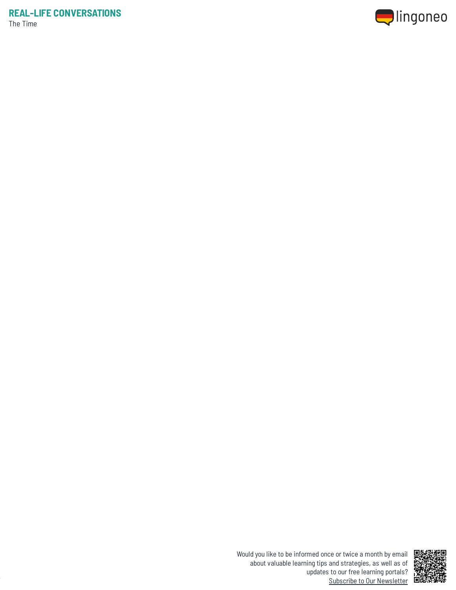



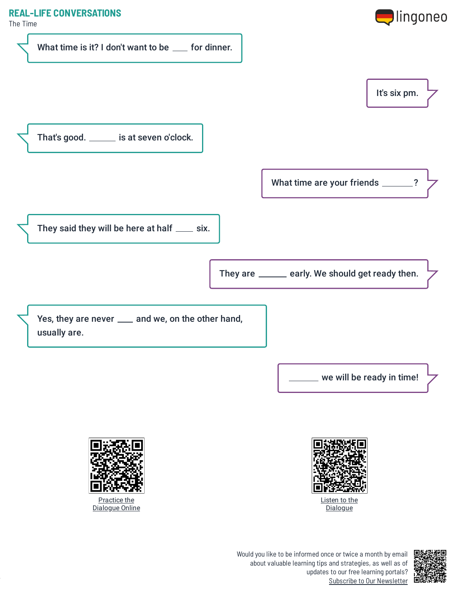

The Time





Practice the [Dialogue](https://www.lingoneo.org/learn-german/page/online-course/page-1728-practice) Online



Would you like to be informed once or twice a month by email about valuable learning tips and strategies, as well as of updates to our free learning portals? Subscribe to Our [Newsletter](https://www.lingoneo.org/learn-german?channel=emailcampaignnewsletter&tcontent=so-m-27&tsource=srt_source)